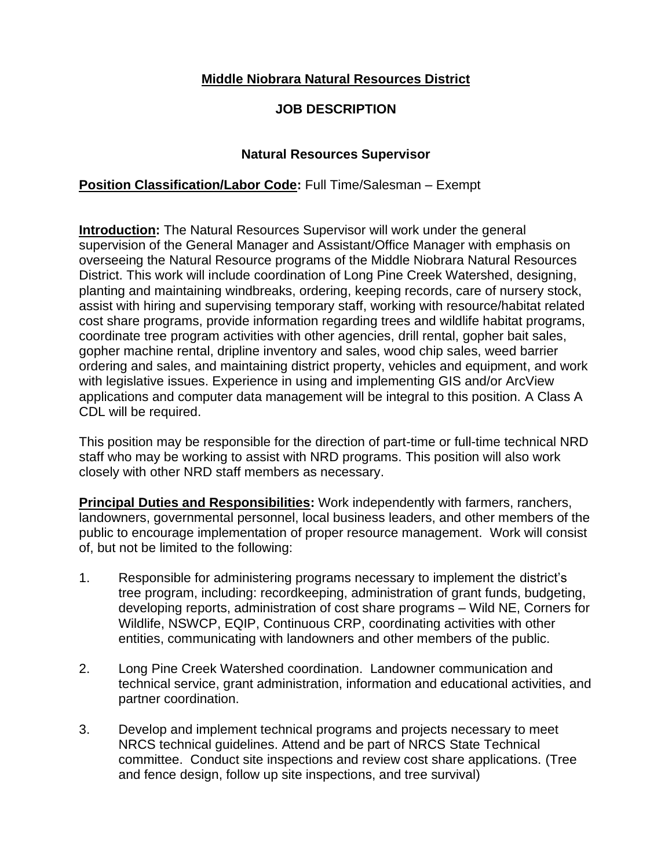### **Middle Niobrara Natural Resources District**

### **JOB DESCRIPTION**

#### **Natural Resources Supervisor**

#### **Position Classification/Labor Code:** Full Time/Salesman – Exempt

**Introduction:** The Natural Resources Supervisor will work under the general supervision of the General Manager and Assistant/Office Manager with emphasis on overseeing the Natural Resource programs of the Middle Niobrara Natural Resources District. This work will include coordination of Long Pine Creek Watershed, designing, planting and maintaining windbreaks, ordering, keeping records, care of nursery stock, assist with hiring and supervising temporary staff, working with resource/habitat related cost share programs, provide information regarding trees and wildlife habitat programs, coordinate tree program activities with other agencies, drill rental, gopher bait sales, gopher machine rental, dripline inventory and sales, wood chip sales, weed barrier ordering and sales, and maintaining district property, vehicles and equipment, and work with legislative issues. Experience in using and implementing GIS and/or ArcView applications and computer data management will be integral to this position. A Class A CDL will be required.

This position may be responsible for the direction of part-time or full-time technical NRD staff who may be working to assist with NRD programs. This position will also work closely with other NRD staff members as necessary.

**Principal Duties and Responsibilities:** Work independently with farmers, ranchers, landowners, governmental personnel, local business leaders, and other members of the public to encourage implementation of proper resource management. Work will consist of, but not be limited to the following:

- 1. Responsible for administering programs necessary to implement the district's tree program, including: recordkeeping, administration of grant funds, budgeting, developing reports, administration of cost share programs – Wild NE, Corners for Wildlife, NSWCP, EQIP, Continuous CRP, coordinating activities with other entities, communicating with landowners and other members of the public.
- 2. Long Pine Creek Watershed coordination. Landowner communication and technical service, grant administration, information and educational activities, and partner coordination.
- 3. Develop and implement technical programs and projects necessary to meet NRCS technical guidelines. Attend and be part of NRCS State Technical committee. Conduct site inspections and review cost share applications. (Tree and fence design, follow up site inspections, and tree survival)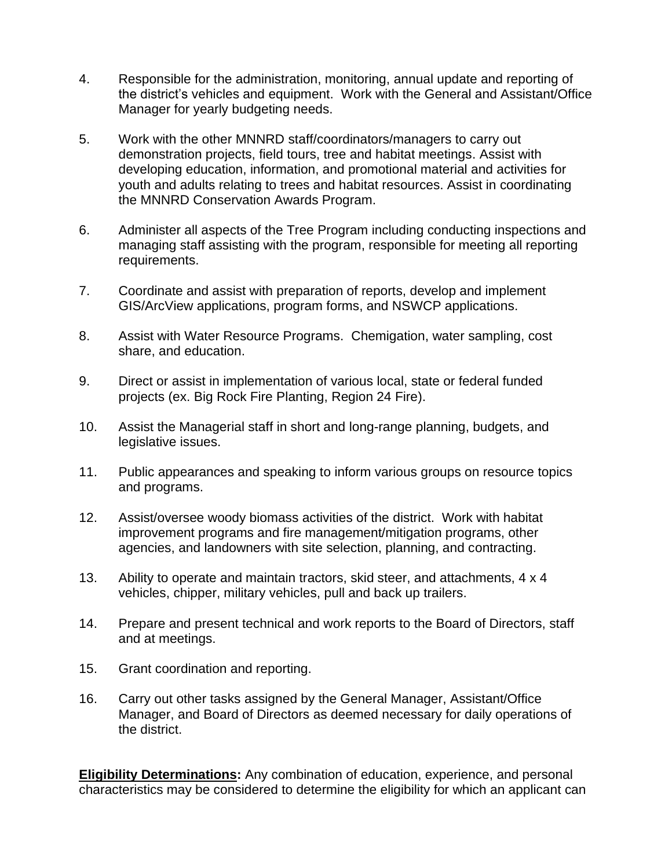- 4. Responsible for the administration, monitoring, annual update and reporting of the district's vehicles and equipment. Work with the General and Assistant/Office Manager for yearly budgeting needs.
- 5. Work with the other MNNRD staff/coordinators/managers to carry out demonstration projects, field tours, tree and habitat meetings. Assist with developing education, information, and promotional material and activities for youth and adults relating to trees and habitat resources. Assist in coordinating the MNNRD Conservation Awards Program.
- 6. Administer all aspects of the Tree Program including conducting inspections and managing staff assisting with the program, responsible for meeting all reporting requirements.
- 7. Coordinate and assist with preparation of reports, develop and implement GIS/ArcView applications, program forms, and NSWCP applications.
- 8. Assist with Water Resource Programs. Chemigation, water sampling, cost share, and education.
- 9. Direct or assist in implementation of various local, state or federal funded projects (ex. Big Rock Fire Planting, Region 24 Fire).
- 10. Assist the Managerial staff in short and long-range planning, budgets, and legislative issues.
- 11. Public appearances and speaking to inform various groups on resource topics and programs.
- 12. Assist/oversee woody biomass activities of the district. Work with habitat improvement programs and fire management/mitigation programs, other agencies, and landowners with site selection, planning, and contracting.
- 13. Ability to operate and maintain tractors, skid steer, and attachments, 4 x 4 vehicles, chipper, military vehicles, pull and back up trailers.
- 14. Prepare and present technical and work reports to the Board of Directors, staff and at meetings.
- 15. Grant coordination and reporting.
- 16. Carry out other tasks assigned by the General Manager, Assistant/Office Manager, and Board of Directors as deemed necessary for daily operations of the district.

**Eligibility Determinations:** Any combination of education, experience, and personal characteristics may be considered to determine the eligibility for which an applicant can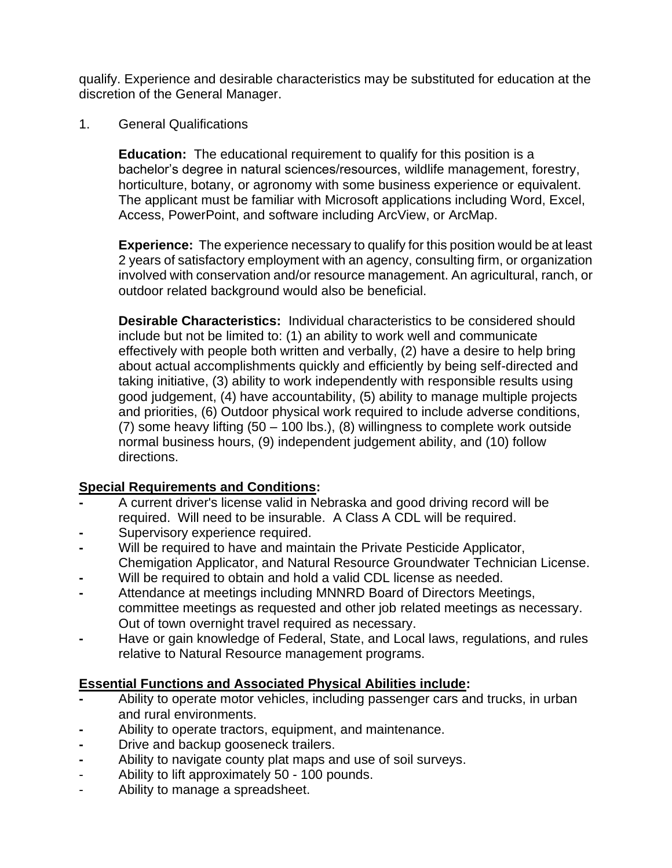qualify. Experience and desirable characteristics may be substituted for education at the discretion of the General Manager.

1. General Qualifications

**Education:** The educational requirement to qualify for this position is a bachelor's degree in natural sciences/resources, wildlife management, forestry, horticulture, botany, or agronomy with some business experience or equivalent. The applicant must be familiar with Microsoft applications including Word, Excel, Access, PowerPoint, and software including ArcView, or ArcMap.

**Experience:** The experience necessary to qualify for this position would be at least 2 years of satisfactory employment with an agency, consulting firm, or organization involved with conservation and/or resource management. An agricultural, ranch, or outdoor related background would also be beneficial.

**Desirable Characteristics:** Individual characteristics to be considered should include but not be limited to: (1) an ability to work well and communicate effectively with people both written and verbally, (2) have a desire to help bring about actual accomplishments quickly and efficiently by being self-directed and taking initiative, (3) ability to work independently with responsible results using good judgement, (4) have accountability, (5) ability to manage multiple projects and priorities, (6) Outdoor physical work required to include adverse conditions, (7) some heavy lifting (50 – 100 lbs.), (8) willingness to complete work outside normal business hours, (9) independent judgement ability, and (10) follow directions.

# **Special Requirements and Conditions:**

- **-** A current driver's license valid in Nebraska and good driving record will be required. Will need to be insurable. A Class A CDL will be required.
- **-** Supervisory experience required.
- **-** Will be required to have and maintain the Private Pesticide Applicator, Chemigation Applicator, and Natural Resource Groundwater Technician License.
- **-** Will be required to obtain and hold a valid CDL license as needed.
- **-** Attendance at meetings including MNNRD Board of Directors Meetings, committee meetings as requested and other job related meetings as necessary. Out of town overnight travel required as necessary.
- **-** Have or gain knowledge of Federal, State, and Local laws, regulations, and rules relative to Natural Resource management programs.

# **Essential Functions and Associated Physical Abilities include:**

- **-** Ability to operate motor vehicles, including passenger cars and trucks, in urban and rural environments.
- **-** Ability to operate tractors, equipment, and maintenance.
- **-** Drive and backup gooseneck trailers.
- **-** Ability to navigate county plat maps and use of soil surveys.
- Ability to lift approximately 50 100 pounds.
- Ability to manage a spreadsheet.